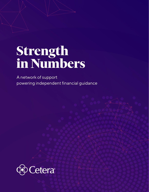# **Strength in Numbers**

A network of support powering independent financial guidance

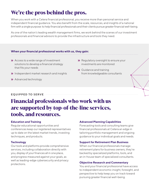# **We're the pros behind the pros.**

When you work with a Cetera financial professional, you receive more than personal service and independent financial guidance. You also benefit from the scale, resources, and insights of a national firm with a single purpose: to help financial professionals and their clients pursue greater financial well-being.

As one of the nation's leading wealth management firms, we work behind the scenes of our investment professionals and financial advisors to provide the infrastructure and tools they need.

#### **When your financial professional works with us, they gain:**

- **»** Access to a wide range of investment solutions to develop a financial strategy that fits your needs
- **»** Independent market research and insights
- **»** Advanced technology
- **»** Regulatory oversight to ensure your investments are monitored
- **»** Guidance and training from knowledgeable consultants

#### **EQUIPPED TO SERVE**

# **Financial professionals who work with us are supported by top-of-the-line services, tools, and resources.**

#### **Education and Training**

Regular educational opportunities and conferences keep our registered representatives up to date on the latest market trends, investing techniques, and products.

#### **Technology**

Our tools and platforms provide comprehensive services, including collaboration directly with you, display of your finances all in one place, and progress measured against your goals, as well as leading-edge cybersecurity and privacy protections.

#### **Advanced Planning Capabilities**

Forecasting tools and consulting teams give financial professionals at Cetera an edge in tailoring portfolio management and ongoing guidance to your individual goals and needs.

#### **Support for Retirement Plan Business**

When our financial professionals manage retirement plans for business owners, they're backed by specialized platforms, tools, and an in-house team of specialized consultants.

#### **Objective Research and Commentary**

You and your financial professional have access to independent economic insight, foresight, and perspective to help keep you on track toward pursuing greater financial well-being.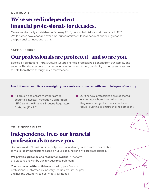# **We've served independent financial professionals for decades.**

Cetera was formally established in February 2010, but our full history stretches back to 1981. While names have changed over time, our commitment to independent financial guidance and personal connections hasn't.

#### **SAFE & SECURE**

# **Our professionals are protected—and so are you.**

Backed by our national infrastructure, Cetera financial professionals benefit from our stability and security. They have access to resources—including consultation, continuity planning, and capital to help them thrive through any circumstances.

#### **In addition to compliance oversight, your assets are protected with multiple layers of security:**

- **»** All broker-dealers are members of the Securities Investor Protection Corporation (SIPC) and the Financial Industry Regulatory Authority (FINRA).
- **»** Our financial professionals are registered in any states where they do business. They're also subject to credit checks and regular auditing to ensure they're compliant.

#### **YOUR NEEDS FIRST**

## **Independence frees our financial professionals to serve you.**

Because we don't hold our financial professionals to any sales quotas, they're able to make recommendations based on your goals, not on any corporate agenda.

**We provide guidance and recommendations** in the form of objective analysis by our in-house research team.

**You can invest with confidence** knowing your financial professional is informed by industry-leading market insights and has the autonomy to best meet your needs.